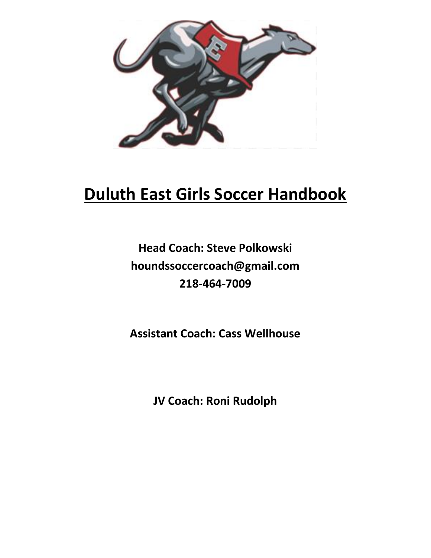

# **Duluth East Girls Soccer Handbook**

## **Head Coach: Steve Polkowski houndssoccercoach@gmail.com 218-464-7009**

**Assistant Coach: Cass Wellhouse**

**JV Coach: Roni Rudolph**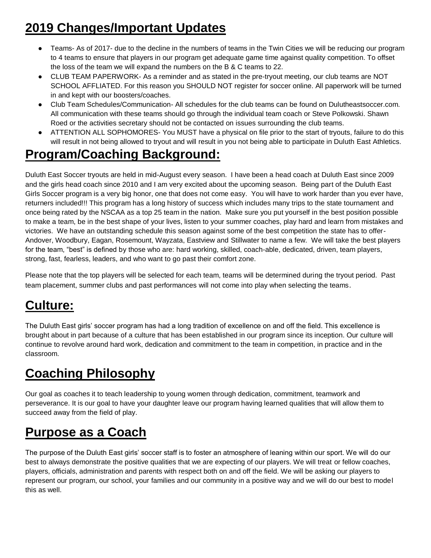## **2019 Changes/Important Updates**

- Teams- As of 2017- due to the decline in the numbers of teams in the Twin Cities we will be reducing our program to 4 teams to ensure that players in our program get adequate game time against quality competition. To offset the loss of the team we will expand the numbers on the B & C teams to 22.
- CLUB TEAM PAPERWORK- As a reminder and as stated in the pre-tryout meeting, our club teams are NOT SCHOOL AFFLIATED. For this reason you SHOULD NOT register for soccer online. All paperwork will be turned in and kept with our boosters/coaches.
- Club Team Schedules/Communication- All schedules for the club teams can be found on Dulutheastsoccer.com. All communication with these teams should go through the individual team coach or Steve Polkowski. Shawn Roed or the activities secretary should not be contacted on issues surrounding the club teams.
- ATTENTION ALL SOPHOMORES- You MUST have a physical on file prior to the start of tryouts, failure to do this will result in not being allowed to tryout and will result in you not being able to participate in Duluth East Athletics.

## **Program/Coaching Background:**

Duluth East Soccer tryouts are held in mid-August every season. I have been a head coach at Duluth East since 2009 and the girls head coach since 2010 and I am very excited about the upcoming season. Being part of the Duluth East Girls Soccer program is a very big honor, one that does not come easy. You will have to work harder than you ever have, returners included!!! This program has a long history of success which includes many trips to the state tournament and once being rated by the NSCAA as a top 25 team in the nation. Make sure you put yourself in the best position possible to make a team, be in the best shape of your lives, listen to your summer coaches, play hard and learn from mistakes and victories. We have an outstanding schedule this season against some of the best competition the state has to offer-Andover, Woodbury, Eagan, Rosemount, Wayzata, Eastview and Stillwater to name a few. We will take the best players for the team, "best" is defined by those who are: hard working, skilled, coach-able, dedicated, driven, team players, strong, fast, fearless, leaders, and who want to go past their comfort zone.

Please note that the top players will be selected for each team, teams will be determined during the tryout period. Past team placement, summer clubs and past performances will not come into play when selecting the teams.

## **Culture:**

The Duluth East girls' soccer program has had a long tradition of excellence on and off the field. This excellence is brought about in part because of a culture that has been established in our program since its inception. Our culture will continue to revolve around hard work, dedication and commitment to the team in competition, in practice and in the classroom.

## **Coaching Philosophy**

Our goal as coaches it to teach leadership to young women through dedication, commitment, teamwork and perseverance. It is our goal to have your daughter leave our program having learned qualities that will allow them to succeed away from the field of play.

## **Purpose as a Coach**

The purpose of the Duluth East girls' soccer staff is to foster an atmosphere of leaning within our sport. We will do our best to always demonstrate the positive qualities that we are expecting of our players. We will treat or fellow coaches, players, officials, administration and parents with respect both on and off the field. We will be asking our players to represent our program, our school, your families and our community in a positive way and we will do our best to model this as well.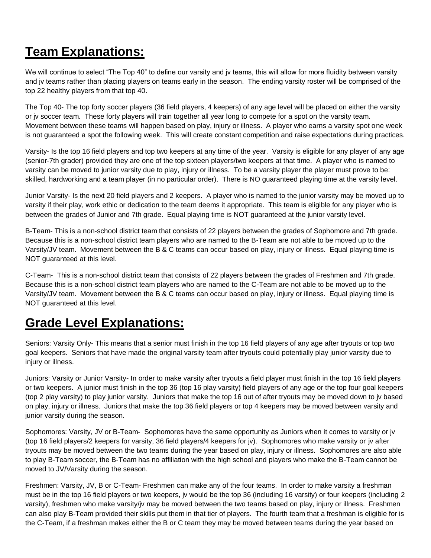### **Team Explanations:**

We will continue to select "The Top 40" to define our varsity and jv teams, this will allow for more fluidity between varsity and jv teams rather than placing players on teams early in the season. The ending varsity roster will be comprised of the top 22 healthy players from that top 40.

The Top 40- The top forty soccer players (36 field players, 4 keepers) of any age level will be placed on either the varsity or jv soccer team. These forty players will train together all year long to compete for a spot on the varsity team. Movement between these teams will happen based on play, injury or illness. A player who earns a varsity spot one week is not guaranteed a spot the following week. This will create constant competition and raise expectations during practices.

Varsity- Is the top 16 field players and top two keepers at any time of the year. Varsity is eligible for any player of any age (senior-7th grader) provided they are one of the top sixteen players/two keepers at that time. A player who is named to varsity can be moved to junior varsity due to play, injury or illness. To be a varsity player the player must prove to be: skilled, hardworking and a team player (in no particular order). There is NO guaranteed playing time at the varsity level.

Junior Varsity- Is the next 20 field players and 2 keepers. A player who is named to the junior varsity may be moved up to varsity if their play, work ethic or dedication to the team deems it appropriate. This team is eligible for any player who is between the grades of Junior and 7th grade. Equal playing time is NOT guaranteed at the junior varsity level.

B-Team- This is a non-school district team that consists of 22 players between the grades of Sophomore and 7th grade. Because this is a non-school district team players who are named to the B-Team are not able to be moved up to the Varsity/JV team. Movement between the B & C teams can occur based on play, injury or illness. Equal playing time is NOT guaranteed at this level.

C-Team- This is a non-school district team that consists of 22 players between the grades of Freshmen and 7th grade. Because this is a non-school district team players who are named to the C-Team are not able to be moved up to the Varsity/JV team. Movement between the B & C teams can occur based on play, injury or illness. Equal playing time is NOT guaranteed at this level.

### **Grade Level Explanations:**

Seniors: Varsity Only- This means that a senior must finish in the top 16 field players of any age after tryouts or top two goal keepers. Seniors that have made the original varsity team after tryouts could potentially play junior varsity due to injury or illness.

Juniors: Varsity or Junior Varsity- In order to make varsity after tryouts a field player must finish in the top 16 field players or two keepers. A junior must finish in the top 36 (top 16 play varsity) field players of any age or the top four goal keepers (top 2 play varsity) to play junior varsity. Juniors that make the top 16 out of after tryouts may be moved down to jv based on play, injury or illness. Juniors that make the top 36 field players or top 4 keepers may be moved between varsity and junior varsity during the season.

Sophomores: Varsity, JV or B-Team- Sophomores have the same opportunity as Juniors when it comes to varsity or jv (top 16 field players/2 keepers for varsity, 36 field players/4 keepers for jv). Sophomores who make varsity or jv after tryouts may be moved between the two teams during the year based on play, injury or illness. Sophomores are also able to play B-Team soccer, the B-Team has no affiliation with the high school and players who make the B-Team cannot be moved to JV/Varsity during the season.

Freshmen: Varsity, JV, B or C-Team- Freshmen can make any of the four teams. In order to make varsity a freshman must be in the top 16 field players or two keepers, jv would be the top 36 (including 16 varsity) or four keepers (including 2 varsity), freshmen who make varsity/jv may be moved between the two teams based on play, injury or illness. Freshmen can also play B-Team provided their skills put them in that tier of players. The fourth team that a freshman is eligible for is the C-Team, if a freshman makes either the B or C team they may be moved between teams during the year based on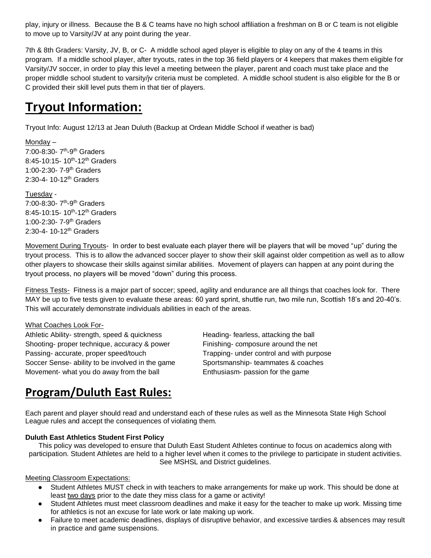play, injury or illness. Because the B & C teams have no high school affiliation a freshman on B or C team is not eligible to move up to Varsity/JV at any point during the year.

7th & 8th Graders: Varsity, JV, B, or C- A middle school aged player is eligible to play on any of the 4 teams in this program. If a middle school player, after tryouts, rates in the top 36 field players or 4 keepers that makes them eligible for Varsity/JV soccer, in order to play this level a meeting between the player, parent and coach must take place and the proper middle school student to varsity/jv criteria must be completed. A middle school student is also eligible for the B or C provided their skill level puts them in that tier of players.

### **Tryout Information:**

Tryout Info: August 12/13 at Jean Duluth (Backup at Ordean Middle School if weather is bad)

Monday – 7:00-8:30- 7<sup>th</sup>-9<sup>th</sup> Graders 8:45-10:15- 10<sup>th</sup>-12<sup>th</sup> Graders 1:00-2:30- 7-9 th Graders 2:30-4-10-12<sup>th</sup> Graders

Tuesday - 7:00-8:30- 7<sup>th</sup>-9<sup>th</sup> Graders 8:45-10:15- 10<sup>th</sup>-12<sup>th</sup> Graders 1:00-2:30- 7-9<sup>th</sup> Graders 2:30-4-10-12<sup>th</sup> Graders

Movement During Tryouts- In order to best evaluate each player there will be players that will be moved "up" during the tryout process. This is to allow the advanced soccer player to show their skill against older competition as well as to allow other players to showcase their skills against similar abilities. Movement of players can happen at any point during the tryout process, no players will be moved "down" during this process.

Fitness Tests- Fitness is a major part of soccer; speed, agility and endurance are all things that coaches look for. There MAY be up to five tests given to evaluate these areas: 60 yard sprint, shuttle run, two mile run, Scottish 18's and 20-40's. This will accurately demonstrate individuals abilities in each of the areas.

#### What Coaches Look For-

Athletic Ability- strength, speed & quickness Heading- fearless, attacking the ball Shooting- proper technique, accuracy & power Finishing- composure around the net Passing- accurate, proper speed/touch Trapping- under control and with purpose Soccer Sense- ability to be involved in the game Sportsmanship- teammates & coaches Movement- what you do away from the ball **Enthusiasm-** passion for the game

### **Program/Duluth East Rules:**

Each parent and player should read and understand each of these rules as well as the Minnesota State High School League rules and accept the consequences of violating them.

#### **Duluth East Athletics Student First Policy**

This policy was developed to ensure that Duluth East Student Athletes continue to focus on academics along with participation. Student Athletes are held to a higher level when it comes to the privilege to participate in student activities. See MSHSL and District guidelines.

#### Meeting Classroom Expectations:

- Student Athletes MUST check in with teachers to make arrangements for make up work. This should be done at least two days prior to the date they miss class for a game or activity!
- Student Athletes must meet classroom deadlines and make it easy for the teacher to make up work. Missing time for athletics is not an excuse for late work or late making up work.
- Failure to meet academic deadlines, displays of disruptive behavior, and excessive tardies & absences may result in practice and game suspensions.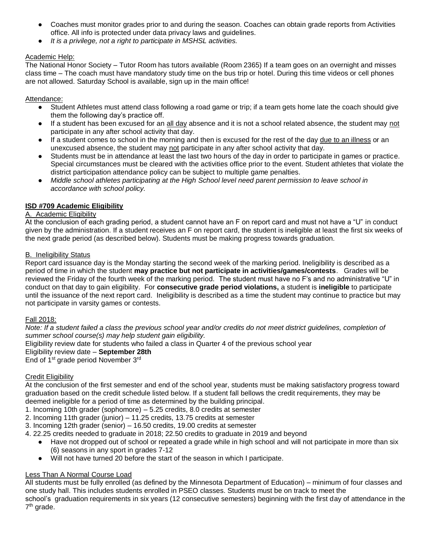- Coaches must monitor grades prior to and during the season. Coaches can obtain grade reports from Activities office. All info is protected under data privacy laws and guidelines.
- *It is a privilege, not a right to participate in MSHSL activities.*

#### Academic Help:

The National Honor Society – Tutor Room has tutors available (Room 2365) If a team goes on an overnight and misses class time – The coach must have mandatory study time on the bus trip or hotel. During this time videos or cell phones are not allowed. Saturday School is available, sign up in the main office!

#### Attendance:

- Student Athletes must attend class following a road game or trip; if a team gets home late the coach should give them the following day's practice off.
- If a student has been excused for an all day absence and it is not a school related absence, the student may not participate in any after school activity that day.
- If a student comes to school in the morning and then is excused for the rest of the day due to an illness or an unexcused absence, the student may not participate in any after school activity that day.
- Students must be in attendance at least the last two hours of the day in order to participate in games or practice. Special circumstances must be cleared with the activities office prior to the event. Student athletes that violate the district participation attendance policy can be subject to multiple game penalties.
- *Middle school athletes participating at the High School level need parent permission to leave school in accordance with school policy.*

#### **ISD #709 Academic Eligibility**

#### A. Academic Eligibility

At the conclusion of each grading period, a student cannot have an F on report card and must not have a "U" in conduct given by the administration. If a student receives an F on report card, the student is ineligible at least the first six weeks of the next grade period (as described below). Students must be making progress towards graduation.

#### B. Ineligibility Status

Report card issuance day is the Monday starting the second week of the marking period. Ineligibility is described as a period of time in which the student **may practice but not participate in activities/games/contests**. Grades will be reviewed the Friday of the fourth week of the marking period. The student must have no F's and no administrative "U" in conduct on that day to gain eligibility. For **consecutive grade period violations,** a student is **ineligible** to participate until the issuance of the next report card. Ineligibility is described as a time the student may continue to practice but may not participate in varsity games or contests.

#### Fall 2018:

*Note: If a student failed a class the previous school year and/or credits do not meet district guidelines, completion of summer school course(s) may help student gain eligibility.*

Eligibility review date for students who failed a class in Quarter 4 of the previous school year

#### Eligibility review date – **September 28th**

End of 1<sup>st</sup> grade period November 3<sup>rd</sup>

#### Credit Eligibility

At the conclusion of the first semester and end of the school year, students must be making satisfactory progress toward graduation based on the credit schedule listed below. If a student fall bellows the credit requirements, they may be deemed ineligible for a period of time as determined by the building principal.

1. Incoming 10th grader (sophomore) – 5.25 credits, 8.0 credits at semester

2. Incoming 11th grader (junior) – 11.25 credits, 13.75 credits at semester

3. Incoming 12th grader (senior) – 16.50 credits, 19.00 credits at semester

4. 22.25 credits needed to graduate in 2018; 22.50 credits to graduate in 2019 and beyond

- Have not dropped out of school or repeated a grade while in high school and will not participate in more than six (6) seasons in any sport in grades 7-12
- Will not have turned 20 before the start of the season in which I participate.

#### Less Than A Normal Course Load

All students must be fully enrolled (as defined by the Minnesota Department of Education) – minimum of four classes and one study hall. This includes students enrolled in PSEO classes. Students must be on track to meet the

school's graduation requirements in six years (12 consecutive semesters) beginning with the first day of attendance in the 7<sup>th</sup> grade.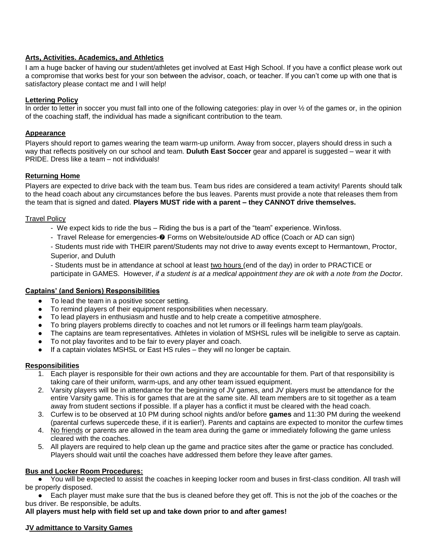#### **Arts, Activities. Academics, and Athletics**

I am a huge backer of having our student/athletes get involved at East High School. If you have a conflict please work out a compromise that works best for your son between the advisor, coach, or teacher. If you can't come up with one that is satisfactory please contact me and I will help!

#### **Lettering Policy**

In order to letter in soccer you must fall into one of the following categories: play in over  $\frac{1}{2}$  of the games or, in the opinion of the coaching staff, the individual has made a significant contribution to the team.

#### **Appearance**

Players should report to games wearing the team warm-up uniform. Away from soccer, players should dress in such a way that reflects positively on our school and team. **Duluth East Soccer** gear and apparel is suggested – wear it with PRIDE. Dress like a team – not individuals!

#### **Returning Home**

Players are expected to drive back with the team bus. Team bus rides are considered a team activity! Parents should talk to the head coach about any circumstances before the bus leaves. Parents must provide a note that releases them from the team that is signed and dated. **Players MUST ride with a parent – they CANNOT drive themselves.**

#### Travel Policy

- We expect kids to ride the bus Riding the bus is a part of the "team" experience. Win/loss.
- Travel Release for emergencies-  $\odot$  Forms on Website/outside AD office (Coach or AD can sign)

- Students must ride with THEIR parent/Students may not drive to away events except to Hermantown, Proctor, Superior, and Duluth

- Students must be in attendance at school at least two hours (end of the day) in order to PRACTICE or participate in GAMES. However, *if a student is at a medical appointment they are ok with a note from the Doctor.* 

#### **Captains' (and Seniors) Responsibilities**

- To lead the team in a positive soccer setting.
- To remind players of their equipment responsibilities when necessary.
- To lead players in enthusiasm and hustle and to help create a competitive atmosphere.
- To bring players problems directly to coaches and not let rumors or ill feelings harm team play/goals.
- The captains are team representatives. Athletes in violation of MSHSL rules will be ineligible to serve as captain.
- To not play favorites and to be fair to every player and coach.
- If a captain violates MSHSL or East HS rules they will no longer be captain.

#### **Responsibilities**

- 1. Each player is responsible for their own actions and they are accountable for them. Part of that responsibility is taking care of their uniform, warm-ups, and any other team issued equipment.
- 2. Varsity players will be in attendance for the beginning of JV games, and JV players must be attendance for the entire Varsity game. This is for games that are at the same site. All team members are to sit together as a team away from student sections if possible. If a player has a conflict it must be cleared with the head coach.
- 3. Curfew is to be observed at 10 PM during school nights and/or before **games** and 11:30 PM during the weekend (parental curfews supercede these, if it is earlier!). Parents and captains are expected to monitor the curfew times
- 4. No friends or parents are allowed in the team area during the game or immediately following the game unless cleared with the coaches.
- 5. All players are required to help clean up the game and practice sites after the game or practice has concluded. Players should wait until the coaches have addressed them before they leave after games.

#### **Bus and Locker Room Procedures:**

You will be expected to assist the coaches in keeping locker room and buses in first-class condition. All trash will be properly disposed.

● Each player must make sure that the bus is cleaned before they get off. This is not the job of the coaches or the bus driver. Be responsible, be adults.

**All players must help with field set up and take down prior to and after games!**

#### **JV admittance to Varsity Games**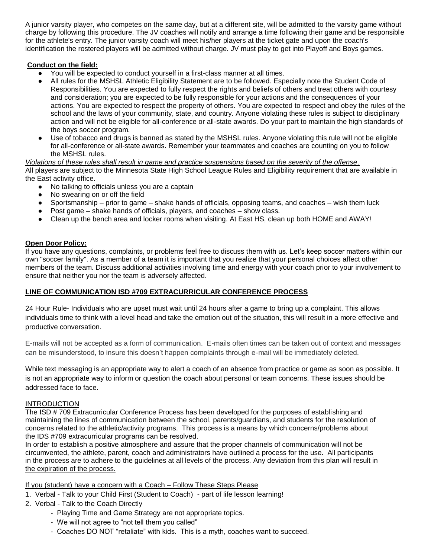A junior varsity player, who competes on the same day, but at a different site, will be admitted to the varsity game without charge by following this procedure. The JV coaches will notify and arrange a time following their game and be responsible for the athlete's entry. The junior varsity coach will meet his/her players at the ticket gate and upon the coach's identification the rostered players will be admitted without charge. JV must play to get into Playoff and Boys games.

#### **Conduct on the field:**

- You will be expected to conduct yourself in a first-class manner at all times.
- All rules for the MSHSL Athletic Eligibility Statement are to be followed. Especially note the Student Code of Responsibilities. You are expected to fully respect the rights and beliefs of others and treat others with courtesy and consideration; you are expected to be fully responsible for your actions and the consequences of your actions. You are expected to respect the property of others. You are expected to respect and obey the rules of the school and the laws of your community, state, and country. Anyone violating these rules is subject to disciplinary action and will not be eligible for all-conference or all-state awards. Do your part to maintain the high standards of the boys soccer program.
- Use of tobacco and drugs is banned as stated by the MSHSL rules. Anyone violating this rule will not be eligible for all-conference or all-state awards. Remember your teammates and coaches are counting on you to follow the MSHSL rules.

*Violations of these rules shall result in game and practice suspensions based on the severity of the offense*. All players are subject to the Minnesota State High School League Rules and Eligibility requirement that are available in the East activity office.

- No talking to officials unless you are a captain
- No swearing on or off the field
- Sportsmanship prior to game shake hands of officials, opposing teams, and coaches wish them luck
- Post game shake hands of officials, players, and coaches show class.
- Clean up the bench area and locker rooms when visiting. At East HS, clean up both HOME and AWAY!

#### **Open Door Policy:**

If you have any questions, complaints, or problems feel free to discuss them with us. Let's keep soccer matters within our own "soccer family". As a member of a team it is important that you realize that your personal choices affect other members of the team. Discuss additional activities involving time and energy with your coach prior to your involvement to ensure that neither you nor the team is adversely affected.

#### **LINE OF COMMUNICATION ISD #709 EXTRACURRICULAR CONFERENCE PROCESS**

24 Hour Rule- Individuals who are upset must wait until 24 hours after a game to bring up a complaint. This allows individuals time to think with a level head and take the emotion out of the situation, this will result in a more effective and productive conversation.

E-mails will not be accepted as a form of communication. E-mails often times can be taken out of context and messages can be misunderstood, to insure this doesn't happen complaints through e-mail will be immediately deleted.

While text messaging is an appropriate way to alert a coach of an absence from practice or game as soon as possible. It is not an appropriate way to inform or question the coach about personal or team concerns. These issues should be addressed face to face.

#### **INTRODUCTION**

The ISD # 709 Extracurricular Conference Process has been developed for the purposes of establishing and maintaining the lines of communication between the school, parents/guardians, and students for the resolution of concerns related to the athletic/activity programs. This process is a means by which concerns/problems about the IDS #709 extracurricular programs can be resolved.

In order to establish a positive atmosphere and assure that the proper channels of communication will not be circumvented, the athlete, parent, coach and administrators have outlined a process for the use. All participants in the process are to adhere to the guidelines at all levels of the process. Any deviation from this plan will result in the expiration of the process.

If you (student) have a concern with a Coach – Follow These Steps Please

- 1. Verbal Talk to your Child First (Student to Coach) part of life lesson learning!
- 2. Verbal Talk to the Coach Directly
	- Playing Time and Game Strategy are not appropriate topics.
	- We will not agree to "not tell them you called"
	- Coaches DO NOT "retaliate" with kids. This is a myth, coaches want to succeed.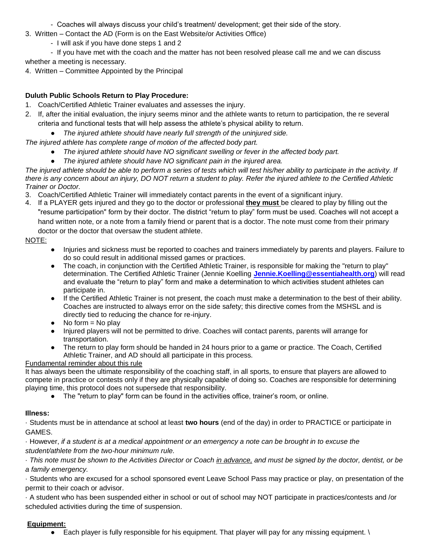- Coaches will always discuss your child's treatment/ development; get their side of the story.
- 3. Written Contact the AD (Form is on the East Website/or Activities Office)
	- I will ask if you have done steps 1 and 2

- If you have met with the coach and the matter has not been resolved please call me and we can discuss whether a meeting is necessary.

4. Written – Committee Appointed by the Principal

#### **Duluth Public Schools Return to Play Procedure:**

- 1. Coach/Certified Athletic Trainer evaluates and assesses the injury.
- 2. If, after the initial evaluation, the injury seems minor and the athlete wants to return to participation, the re several criteria and functional tests that will help assess the athlete's physical ability to return.
	- The injured athlete should have nearly full strength of the uninjured side.

*The injured athlete has complete range of motion of the affected body part.*

- *The injured athlete should have NO significant swelling or fever in the affected body part.*
- The injured athlete should have NO significant pain in the injured area.

The injured athlete should be able to perform a series of tests which will test his/her ability to participate in the activity. If *there is any concern about an injury, DO NOT return a student to play. Refer the injured athlete to the Certified Athletic Trainer or Doctor.* 

- 3. Coach/Certified Athletic Trainer will immediately contact parents in the event of a significant injury.
- 4. If a PLAYER gets injured and they go to the doctor or professional **they must** be cleared to play by filling out the "resume participation" form by their doctor. The district "return to play" form must be used. Coaches will not accept a hand written note, or a note from a family friend or parent that is a doctor. The note must come from their primary doctor or the doctor that oversaw the student athlete.

#### NOTE:

- Injuries and sickness must be reported to coaches and trainers immediately by parents and players. Failure to do so could result in additional missed games or practices.
- The coach, in conjunction with the Certified Athletic Trainer, is responsible for making the "return to play" determination. The Certified Athletic Trainer (Jennie Koelling **[Jennie.Koelling@essentiahealth.org](mailto:Jennie.Koelling@essentiahealth.org)**) will read and evaluate the "return to play" form and make a determination to which activities student athletes can participate in.
- If the Certified Athletic Trainer is not present, the coach must make a determination to the best of their ability. Coaches are instructed to always error on the side safety; this directive comes from the MSHSL and is directly tied to reducing the chance for re-injury.
- $\bullet$  No form = No play
- Injured players will not be permitted to drive. Coaches will contact parents, parents will arrange for transportation.
- The return to play form should be handed in 24 hours prior to a game or practice. The Coach, Certified Athletic Trainer, and AD should all participate in this process.

#### Fundamental reminder about this rule

It has always been the ultimate responsibility of the coaching staff, in all sports, to ensure that players are allowed to compete in practice or contests only if they are physically capable of doing so. Coaches are responsible for determining playing time, this protocol does not supersede that responsibility.

● The "return to play" form can be found in the activities office, trainer's room, or online.

#### **Illness:**

· Students must be in attendance at school at least **two hours** (end of the day) in order to PRACTICE or participate in GAMES.

· However, *if a student is at a medical appointment or an emergency a note can be brought in to excuse the student/athlete from the two-hour minimum rule.* 

· *This note must be shown to the Activities Director or Coach in advance, and must be signed by the doctor, dentist, or be a family emergency.* 

· Students who are excused for a school sponsored event Leave School Pass may practice or play, on presentation of the permit to their coach or advisor.

· A student who has been suspended either in school or out of school may NOT participate in practices/contests and /or scheduled activities during the time of suspension.

#### **Equipment:**

 $\bullet$  Each player is fully responsible for his equipment. That player will pay for any missing equipment.  $\setminus$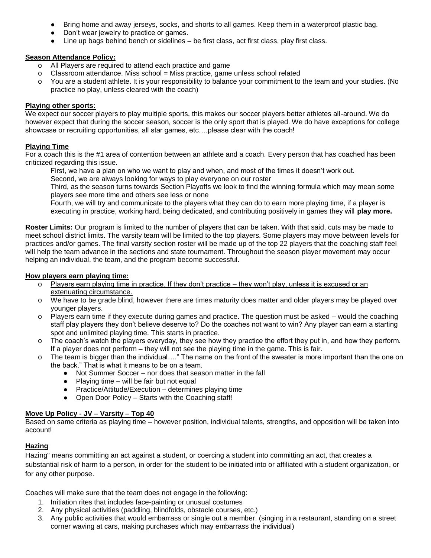- Bring home and away jerseys, socks, and shorts to all games. Keep them in a waterproof plastic bag.
- Don't wear jewelry to practice or games.
- $\bullet$  Line up bags behind bench or sidelines  $-$  be first class, act first class, play first class.

#### **Season Attendance Policy:**

- o All Players are required to attend each practice and game
- o Classroom attendance. Miss school = Miss practice, game unless school related
- o You are a student athlete. It is your responsibility to balance your commitment to the team and your studies. (No practice no play, unless cleared with the coach)

#### **Playing other sports:**

We expect our soccer players to play multiple sports, this makes our soccer players better athletes all-around. We do however expect that during the soccer season, soccer is the only sport that is played. We do have exceptions for college showcase or recruiting opportunities, all star games, etc….please clear with the coach!

#### **Playing Time**

For a coach this is the #1 area of contention between an athlete and a coach. Every person that has coached has been criticized regarding this issue.

First, we have a plan on who we want to play and when, and most of the times it doesn't work out.

Second, we are always looking for ways to play everyone on our roster

Third, as the season turns towards Section Playoffs we look to find the winning formula which may mean some players see more time and others see less or none

Fourth, we will try and communicate to the players what they can do to earn more playing time, if a player is executing in practice, working hard, being dedicated, and contributing positively in games they will **play more.** 

**Roster Limits:** Our program is limited to the number of players that can be taken. With that said, cuts may be made to meet school district limits. The varsity team will be limited to the top players. Some players may move between levels for practices and/or games. The final varsity section roster will be made up of the top 22 players that the coaching staff feel will help the team advance in the sections and state tournament. Throughout the season player movement may occur helping an individual, the team, and the program become successful.

#### **How players earn playing time:**

- o Players earn playing time in practice. If they don't practice they won't play, unless it is excused or an extenuating circumstance.
- o We have to be grade blind, however there are times maturity does matter and older players may be played over younger players.
- o Players earn time if they execute during games and practice. The question must be asked would the coaching staff play players they don't believe deserve to? Do the coaches not want to win? Any player can earn a starting spot and unlimited playing time. This starts in practice.
- o The coach's watch the players everyday, they see how they practice the effort they put in, and how they perform. If a player does not perform – they will not see the playing time in the game. This is fair.
- o The team is bigger than the individual…." The name on the front of the sweater is more important than the one on the back." That is what it means to be on a team.
	- Not Summer Soccer nor does that season matter in the fall
	- Playing time will be fair but not equal
	- Practice/Attitude/Execution determines playing time
	- Open Door Policy Starts with the Coaching staff!

#### **Move Up Policy - JV – Varsity – Top 40**

Based on same criteria as playing time – however position, individual talents, strengths, and opposition will be taken into account!

#### **Hazing**

Hazing" means committing an act against a student, or coercing a student into committing an act, that creates a substantial risk of harm to a person, in order for the student to be initiated into or affiliated with a student organization, or for any other purpose.

Coaches will make sure that the team does not engage in the following:

- 1. Initiation rites that includes face-painting or unusual costumes
- 2. Any physical activities (paddling, blindfolds, obstacle courses, etc.)
- 3. Any public activities that would embarrass or single out a member. (singing in a restaurant, standing on a street corner waving at cars, making purchases which may embarrass the individual)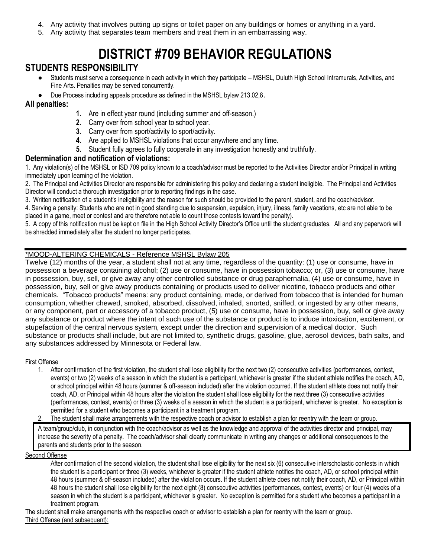- 4. Any activity that involves putting up signs or toilet paper on any buildings or homes or anything in a yard.
- 5. Any activity that separates team members and treat them in an embarrassing way.

## **DISTRICT #709 BEHAVIOR REGULATIONS**

#### **STUDENTS RESPONSIBILITY**

- Students must serve a consequence in each activity in which they participate MSHSL, Duluth High School Intramurals, Activities, and Fine Arts. Penalties may be served concurrently.
- Due Process including appeals procedure as defined in the MSHSL bylaw 213.02,8.

#### **All penalties:**

- **1.** Are in effect year round (including summer and off-season.)
- **2.** Carry over from school year to school year.
- **3.** Carry over from sport/activity to sport/activity.
- **4.** Are applied to MSHSL violations that occur anywhere and any time.
- **5.** Student fully agrees to fully cooperate in any investigation honestly and truthfully.

#### **Determination and notification of violations:**

1. Any violation(s) of the MSHSL or ISD 709 policy known to a coach/advisor must be reported to the Activities Director and/or Principal in writing immediately upon learning of the violation.

2. The Principal and Activities Director are responsible for administering this policy and declaring a student ineligible. The Principal and Activities Director will conduct a thorough investigation prior to reporting findings in the case.

3. Written notification of a student's ineligibility and the reason for such should be provided to the parent, student, and the coach/advisor.

4. Serving a penalty: Students who are not in good standing due to suspension, expulsion, injury, illness, family vacations, etc are not able to be placed in a game, meet or contest and are therefore not able to count those contests toward the penalty).

5. A copy of this notification must be kept on file in the High School Activity Director's Office until the student graduates. All and any paperwork will be shredded immediately after the student no longer participates.

#### \*MOOD-ALTERING CHEMICALS - Reference MSHSL Bylaw 205

Twelve (12) months of the year, a student shall not at any time, regardless of the quantity: (1) use or consume, have in possession a beverage containing alcohol; (2) use or consume, have in possession tobacco; or, (3) use or consume, have in possession, buy, sell, or give away any other controlled substance or drug paraphernalia, (4) use or consume, have in possession, buy, sell or give away products containing or products used to deliver nicotine, tobacco products and other chemicals. "Tobacco products" means: any product containing, made, or derived from tobacco that is intended for human consumption, whether chewed, smoked, absorbed, dissolved, inhaled, snorted, sniffed, or ingested by any other means, or any component, part or accessory of a tobacco product, (5) use or consume, have in possession, buy, sell or give away any substance or product where the intent of such use of the substance or product is to induce intoxication, excitement, or stupefaction of the central nervous system, except under the direction and supervision of a medical doctor. Such substance or products shall include, but are not limited to, synthetic drugs, gasoline, glue, aerosol devices, bath salts, and any substances addressed by Minnesota or Federal law.

#### First Offense

- 1. After confirmation of the first violation, the student shall lose eligibility for the next two (2) consecutive activities (performances, contest, events) or two (2) weeks of a season in which the student is a participant, whichever is greater if the student athlete notifies the coach, AD, or school principal within 48 hours (summer & off-season included) after the violation occurred. If the student athlete does not notify their coach, AD, or Principal within 48 hours after the violation the student shall lose eligibility for the next three (3) consecutive activities (performances, contest, events) or three (3) weeks of a season in which the student is a participant, whichever is greater. No exception is permitted for a student who becomes a participant in a treatment program.
- 2. The student shall make arrangements with the respective coach or advisor to establish a plan for reentry with the team or group.

A team/group/club, in conjunction with the coach/advisor as well as the knowledge and approval of the activities director and principal, may increase the severity of a penalty. The coach/advisor shall clearly communicate in writing any changes or additional consequences to the parents and students prior to the season.

#### Second Offense

After confirmation of the second violation, the student shall lose eligibility for the next six (6) consecutive interscholastic contests in which the student is a participant or three (3) weeks, whichever is greater if the student athlete notifies the coach, AD, or school principal within 48 hours (summer & off-season included) after the violation occurs. If the student athlete does not notify their coach, AD, or Principal within 48 hours the student shall lose eligibility for the next eight (8) consecutive activities (performances, contest, events) or four (4) weeks of a season in which the student is a participant, whichever is greater. No exception is permitted for a student who becomes a participant in a treatment program.

The student shall make arrangements with the respective coach or advisor to establish a plan for reentry with the team or group. Third Offense (and subsequent):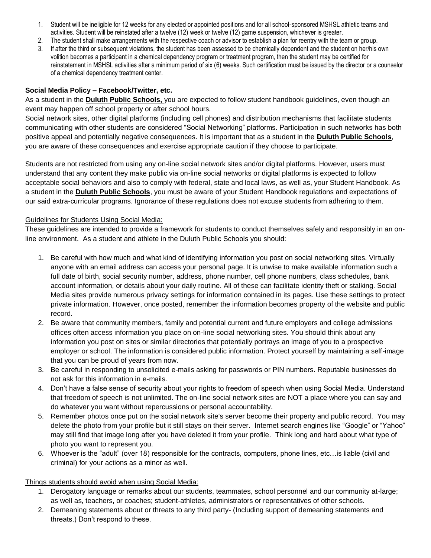- 1. Student will be ineligible for 12 weeks for any elected or appointed positions and for all school-sponsored MSHSL athletic teams and activities. Student will be reinstated after a twelve (12) week or twelve (12) game suspension, whichever is greater.
- 2. The student shall make arrangements with the respective coach or advisor to establish a plan for reentry with the team or group.
- 3. If after the third or subsequent violations, the student has been assessed to be chemically dependent and the student on her/his own volition becomes a participant in a chemical dependency program or treatment program, then the student may be certified for reinstatement in MSHSL activities after a minimum period of six (6) weeks. Such certification must be issued by the director or a counselor of a chemical dependency treatment center.

#### **Social Media Policy – Facebook/Twitter, etc.**

As a student in the **Duluth Public Schools,** you are expected to follow student handbook guidelines, even though an event may happen off school property or after school hours.

Social network sites, other digital platforms (including cell phones) and distribution mechanisms that facilitate students communicating with other students are considered "Social Networking" platforms. Participation in such networks has both positive appeal and potentially negative consequences. It is important that as a student in the **Duluth Public Schools**, you are aware of these consequences and exercise appropriate caution if they choose to participate.

Students are not restricted from using any on-line social network sites and/or digital platforms. However, users must understand that any content they make public via on-line social networks or digital platforms is expected to follow acceptable social behaviors and also to comply with federal, state and local laws, as well as, your Student Handbook. As a student in the **Duluth Public Schools**, you must be aware of your Student Handbook regulations and expectations of our said extra-curricular programs. Ignorance of these regulations does not excuse students from adhering to them.

#### Guidelines for Students Using Social Media:

These guidelines are intended to provide a framework for students to conduct themselves safely and responsibly in an online environment. As a student and athlete in the Duluth Public Schools you should:

- 1. Be careful with how much and what kind of identifying information you post on social networking sites. Virtually anyone with an email address can access your personal page. It is unwise to make available information such a full date of birth, social security number, address, phone number, cell phone numbers, class schedules, bank account information, or details about your daily routine. All of these can facilitate identity theft or stalking. Social Media sites provide numerous privacy settings for information contained in its pages. Use these settings to protect private information. However, once posted, remember the information becomes property of the website and public record.
- 2. Be aware that community members, family and potential current and future employers and college admissions offices often access information you place on on-line social networking sites. You should think about any information you post on sites or similar directories that potentially portrays an image of you to a prospective employer or school. The information is considered public information. Protect yourself by maintaining a self-image that you can be proud of years from now.
- 3. Be careful in responding to unsolicited e-mails asking for passwords or PIN numbers. Reputable businesses do not ask for this information in e-mails.
- 4. Don't have a false sense of security about your rights to freedom of speech when using Social Media. Understand that freedom of speech is not unlimited. The on-line social network sites are NOT a place where you can say and do whatever you want without repercussions or personal accountability.
- 5. Remember photos once put on the social network site's server become their property and public record. You may delete the photo from your profile but it still stays on their server. Internet search engines like "Google" or "Yahoo" may still find that image long after you have deleted it from your profile. Think long and hard about what type of photo you want to represent you.
- 6. Whoever is the "adult" (over 18) responsible for the contracts, computers, phone lines, etc…is liable (civil and criminal) for your actions as a minor as well.

#### Things students should avoid when using Social Media:

- 1. Derogatory language or remarks about our students, teammates, school personnel and our community at-large; as well as, teachers, or coaches; student-athletes, administrators or representatives of other schools.
- 2. Demeaning statements about or threats to any third party- (Including support of demeaning statements and threats.) Don't respond to these.